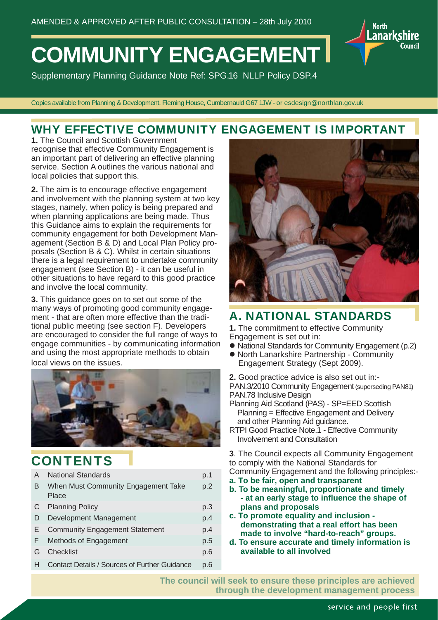# **COMMUNITY ENGAGEMENT**

Supplementary Planning Guidance Note Ref: SPG.16 NLLP Policy DSP.4

Copies available from Planning & Development, Fleming House, Cumbernauld G67 1JW - or esdesign@northlan.gov.uk

### WHY EFFECTIVE COMMUNITY ENGAGEMENT IS IMPORTANT

**1.** The Council and Scottish Government recognise that effective Community Engagement is an important part of delivering an effective planning service. Section A outlines the various national and local policies that support this.

**2.** The aim is to encourage effective engagement and involvement with the planning system at two key stages, namely, when policy is being prepared and when planning applications are being made. Thus this Guidance aims to explain the requirements for community engagement for both Development Management (Section B & D) and Local Plan Policy proposals (Section B & C). Whilst in certain situations there is a legal requirement to undertake community engagement (see Section B) - it can be useful in other situations to have regard to this good practice and involve the local community.

**3.** This guidance goes on to set out some of the many ways of promoting good community engagement - that are often more effective than the traditional public meeting (see section F). Developers are encouraged to consider the full range of ways to engage communities - by communicating information and using the most appropriate methods to obtain local views on the issues.



### **CONTENTS**

| A  | <b>National Standards</b>                     | p.1 |
|----|-----------------------------------------------|-----|
| В  | When Must Community Engagement Take<br>Place  | p.2 |
| C  | <b>Planning Policy</b>                        | p.3 |
| D  | Development Management                        | p.4 |
| Е  | <b>Community Engagement Statement</b>         | p.4 |
| F. | Methods of Engagement                         | p.5 |
| G  | Checklist                                     | p.6 |
| н  | Contact Details / Sources of Further Guidance | p.6 |
|    |                                               |     |



**North** 

Lanarkshire

Council

### A. NATIONAL STANDARDS

**1.** The commitment to effective Community Engagement is set out in:

- National Standards for Community Engagement (p.2)
- North Lanarkshire Partnership Community Engagement Strategy (Sept 2009).

**2.** Good practice advice is also set out in:- PAN.3/2010 Community Engagement (superseding PAN81) PAN.78 Inclusive Design

- Planning Aid Scotland (PAS) SP=EED Scottish Planning = Effective Engagement and Delivery and other Planning Aid guidance.
- RTPI Good Practice Note.1 Effective Community Involvement and Consultation

**3**. The Council expects all Community Engagement to comply with the National Standards for Community Engagement and the following principles:-

- **a. To be fair, open and transparent**
- **b. To be meaningful, proportionate and timely - at an early stage to infl uence the shape of plans and proposals**
- **c. To promote equality and inclusion demonstrating that a real effort has been made to involve "hard-to-reach" groups.**
- **d. To ensure accurate and timely information is available to all involved**

**The council will seek to ensure these principles are achieved through the development management process**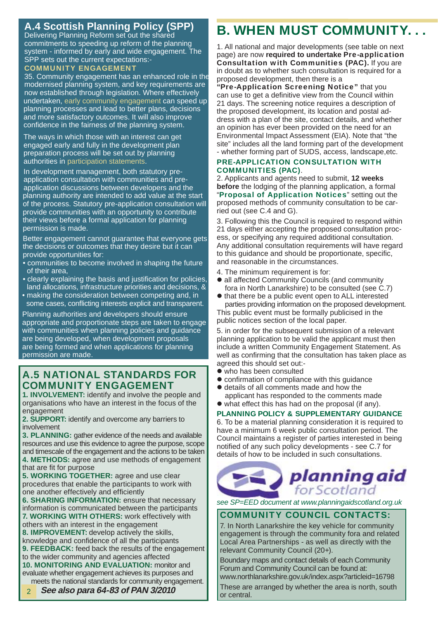### **A.4 Scottish Planning Policy (SPP)**

Delivering Planning Reform set out the shared commitments to speeding up reform of the planning system - informed by early and wide engagement. The SPP sets out the current expectations:-

#### COMMUNITY ENGAGEMENT

35. Community engagement has an enhanced role in the modernised planning system, and key requirements are now established through legislation. Where effectively undertaken, early community engagement can speed up planning processes and lead to better plans, decisions and more satisfactory outcomes. It will also improve confidence in the fairness of the planning system.

The ways in which those with an interest can get engaged early and fully in the development plan preparation process will be set out by planning authorities in participation statements.

In development management, both statutory preapplication consultation with communities and preapplication discussions between developers and the planning authority are intended to add value at the start of the process. Statutory pre-application consultation will provide communities with an opportunity to contribute their views before a formal application for planning permission is made.

Better engagement cannot guarantee that everyone gets the decisions or outcomes that they desire but it can provide opportunities for:

- communities to become involved in shaping the future of their area,
- clearly explaining the basis and justification for policies, land allocations, infrastructure priorities and decisions, &
- making the consideration between competing and, in some cases, conflicting interests explicit and transparent.

Planning authorities and developers should ensure appropriate and proportionate steps are taken to engage with communities when planning policies and quidance are being developed, when development proposals are being formed and when applications for planning permission are made.

### A.5 NATIONAL STANDARDS FOR COMMUNITY ENGAGEMENT

**1. INVOLVEMENT:** identify and involve the people and organisations who have an interest in the focus of the engagement

**2. SUPPORT:** identify and overcome any barriers to involvement

**3. PLANNING:** gather evidence of the needs and available resources and use this evidence to agree the purpose, scope and timescale of the engagement and the actions to be taken **4. METHODS:** agree and use methods of engagement that are fit for purpose

**5. WORKING TOGETHER:** agree and use clear procedures that enable the participants to work with one another effectively and efficiently

**6. SHARING INFORMATION: ensure that necessary** information is communicated between the participants **7. WORKING WITH OTHERS:** work effectively with others with an interest in the engagement

**8. IMPROVEMENT:** develop actively the skills, knowledge and confidence of all the participants

**9. FEEDBACK:** feed back the results of the engagement to the wider community and agencies affected

**10. MONITORING AND EVALUATION: monitor and ...** evaluate whether engagement achieves its purposes and

### meets the national standards for community engagement.

 **See also para 64-83 of PAN 3/2010**  2

# B. WHEN MUST COMMUNITY. . .

1. All national and major developments (see table on next page) are now **required to undertake** Pre-application Consultation with Communities (PAC)**.** If you are in doubt as to whether such consultation is required for a proposed development, then there is a

"Pre-Application Screening Notice" that you can use to get a definitive view from the Council within 21 days. The screening notice requires a description of the proposed development, its location and postal address with a plan of the site, contact details, and whether an opinion has ever been provided on the need for an Environmental Impact Assessment (EIA). Note that "the site" includes all the land forming part of the development - whether forming part of SUDS, access, landscape,etc.

#### PRE-APPLICATION CONSULTATION WITH COMMUNITIES (PAC).

2. Applicants and agents need to submit, **12 weeks before** the lodging of the planning application, a formal "Proposal of Application Notices" setting out the proposed methods of community consultation to be carried out (see C.4 and G).

3. Following this the Council is required to respond within 21 days either accepting the proposed consultation process, or specifying any required additional consultation. Any additional consultation requirements will have regard to this guidance and should be proportionate, specific, and reasonable in the circumstances.

- 4. The minimum requirement is for:
- all affected Community Councils (and community fora in North Lanarkshire) to be consulted (see C.7)
- $\bullet$  that there be a public event open to ALL interested parties providing information on the proposed development. This public event must be formally publicised in the public notices section of the local paper.

5. in order for the subsequent submission of a relevant planning application to be valid the applicant must then include a written Community Engagement Statement. As well as confirming that the consultation has taken place as agreed this should set out:-

- who has been consulted
- $\bullet$  confirmation of compliance with this quidance
- $\bullet$  details of all comments made and how the applicant has responded to the comments made
- $\bullet$  what effect this has had on the proposal (if any).

#### PLANNING POLICY & SUPPLEMENTARY GUIDANCE

6. To be a material planning consideration it is required to have a minimum 6 week public consultation period. The Council maintains a register of parties interested in being notified of any such policy developments - see C.7 for details of how to be included in such consultations.

# planning aid forScotland

*see SP=EED document at www.planningaidscotland.org.uk*

#### COMMUNITY COUNCIL CONTACTS:

7. In North Lanarkshire the key vehicle for community engagement is through the community fora and related Local Area Partnerships - as well as directly with the relevant Community Council (20+).

Boundary maps and contact details of each Community Forum and Community Council can be found at: www.northlanarkshire.gov.uk/index.aspx?articleid=16798

These are arranged by whether the area is north, south or central.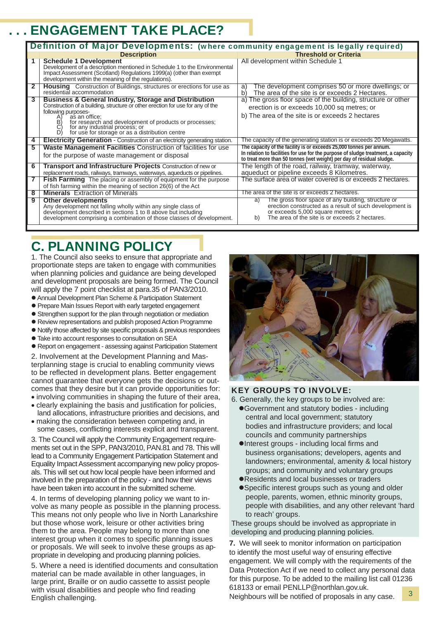# **ENGAGEMENT TAKE PLACE?**

| Definition of Major Developments: (where community engagement is legally required) |                                                                                                                                                                                                                                                                                                                                                                                                     |                                                                                                                                                                                                                                |  |
|------------------------------------------------------------------------------------|-----------------------------------------------------------------------------------------------------------------------------------------------------------------------------------------------------------------------------------------------------------------------------------------------------------------------------------------------------------------------------------------------------|--------------------------------------------------------------------------------------------------------------------------------------------------------------------------------------------------------------------------------|--|
|                                                                                    | <b>Description</b>                                                                                                                                                                                                                                                                                                                                                                                  | <b>Threshold or Criteria</b>                                                                                                                                                                                                   |  |
|                                                                                    | <b>Schedule 1 Development</b><br>Development of a description mentioned in Schedule 1 to the Environmental<br>Impact Assessment (Scotland) Regulations 1999(a) (other than exempt<br>development within the meaning of the regulations).                                                                                                                                                            | All development within Schedule 1                                                                                                                                                                                              |  |
| $\mathbf{2}$                                                                       | <b>Housing</b> Construction of Buildings, structures or erections for use as<br>residential accommodation                                                                                                                                                                                                                                                                                           | The development comprises 50 or more dwellings; or<br>a)<br>The area of the site is or exceeds 2 Hectares.<br>b)                                                                                                               |  |
| $\overline{\mathbf{3}}$                                                            | <b>Business &amp; General Industry, Storage and Distribution</b><br>Construction of a building, structure or other erection for use for any of the<br>following purposes-<br>as an office;<br>$\begin{pmatrix} 1 \\ 2 \\ 3 \\ 4 \end{pmatrix}$<br>for research and development of products or processes;<br>for any industrial process; or<br>for use for storage or as a distribution centre<br>D١ | a) The gross floor space of the building, structure or other<br>erection is or exceeds 10,000 sq metres; or<br>b) The area of the site is or exceeds 2 hectares                                                                |  |
| 4                                                                                  | <b>Electricity Generation - Construction of an electricity generating station.</b>                                                                                                                                                                                                                                                                                                                  | The capacity of the generating station is or exceeds 20 Megawatts.                                                                                                                                                             |  |
| 5                                                                                  | <b>Waste Management Facilities</b> Construction of facilities for use<br>for the purpose of waste management or disposal                                                                                                                                                                                                                                                                            | The capacity of the facility is or exceeds 25,000 tonnes per annum.<br>In relation to facilities for use for the purpose of sludge treatment, a capacity to treat more than 50 tonnes (wet weight) per day of residual sludge. |  |
| 6                                                                                  | <b>Transport and Infrastructure Projects Construction of new or</b><br>replacement roads, railways, tramways, waterways, aqueducts or pipelines.                                                                                                                                                                                                                                                    | The length of the road, railway, tramway, waterway,<br>aqueduct or pipeline exceeds 8 Kilometres.                                                                                                                              |  |
| 7                                                                                  | <b>Fish Farming</b> The placing or assembly of equipment for the purpose<br>of fish farming within the meaning of section 26(6) of the Act                                                                                                                                                                                                                                                          | The surface area of water covered is or exceeds 2 hectares.                                                                                                                                                                    |  |
| $\overline{8}$                                                                     | <b>Minerals</b> Extraction of Minerals                                                                                                                                                                                                                                                                                                                                                              | The area of the site is or exceeds 2 hectares.                                                                                                                                                                                 |  |
| 9                                                                                  | <b>Other developments</b><br>Any development not falling wholly within any single class of<br>development described in sections 1 to 8 above but including<br>development comprising a combination of those classes of development.                                                                                                                                                                 | The gross floor space of any building, structure or<br>a)<br>erection constructed as a result of such development is<br>or exceeds 5,000 square metres; or<br>The area of the site is or exceeds 2 hectares.<br>b)             |  |

# C. PLANNING POLICY

1. The Council also seeks to ensure that appropriate and proportionate steps are taken to engage with communities when planning policies and guidance are being developed and development proposals are being formed. The Council will apply the 7 point checklist at para.35 of PAN3/2010.

- Annual Development Plan Scheme & Participation Statement
- Prepare Main Issues Report with early targeted engagement
- Strengthen support for the plan through negotiation or mediation
- Review representations and publish proposed Action Programme
- $\bullet$  Notify those affected by site specific proposals & previous respondees
- $\bullet$  Take into account responses to consultation on SEA
- Report on engagement assessing against Participation Statement

2. Involvement at the Development Planning and Masterplanning stage is crucial to enabling community views to be reflected in development plans. Better engagement cannot guarantee that everyone gets the decisions or outcomes that they desire but it can provide opportunities for: • involving communities in shaping the future of their area,

- clearly explaining the basis and justification for policies, land allocations, infrastructure priorities and decisions, and
- making the consideration between competing and, in some cases, conflicting interests explicit and transparent.

3. The Council will apply the Community Engagement requirements set out in the SPP, PAN3/2010, PAN.81 and 78. This will lead to a Community Engagement Participation Statement and Equality Impact Assessment accompanying new policy proposals. This will set out how local people have been informed and involved in the preparation of the policy - and how their views have been taken into account in the submitted scheme.

4. In terms of developing planning policy we want to involve as many people as possible in the planning process. This means not only people who live in North Lanarkshire but those whose work, leisure or other activities bring them to the area. People may belong to more than one interest group when it comes to specific planning issues or proposals. We will seek to involve these groups as appropriate in developing and producing planning policies.

5. Where a need is identified documents and consultation material can be made available in other languages, in large print, Braille or on audio cassette to assist people with visual disabilities and people who find reading English challenging.



#### KEY GROUPS TO INVOLVE:

- 6. Generally, the key groups to be involved are: ● Government and statutory bodies - including central and local government; statutory bodies and infrastructure providers; and local councils and community partnerships
	- $\bullet$  Interest groups including local firms and business organisations; developers, agents and landowners; environmental, amenity & local history groups; and community and voluntary groups
	- Residents and local businesses or traders
	- Specific interest groups such as young and older people, parents, women, ethnic minority groups, people with disabilities, and any other relevant 'hard to reach' groups.

These groups should be involved as appropriate in developing and producing planning policies.

**7.** We will seek to monitor information on participation to identify the most useful way of ensuring effective engagement. We will comply with the requirements of the Data Protection Act if we need to collect any personal data for this purpose. To be added to the mailing list call 01236 618133 or email PENLLP@northlan.gov.uk.

Neighbours will be notified of proposals in any case.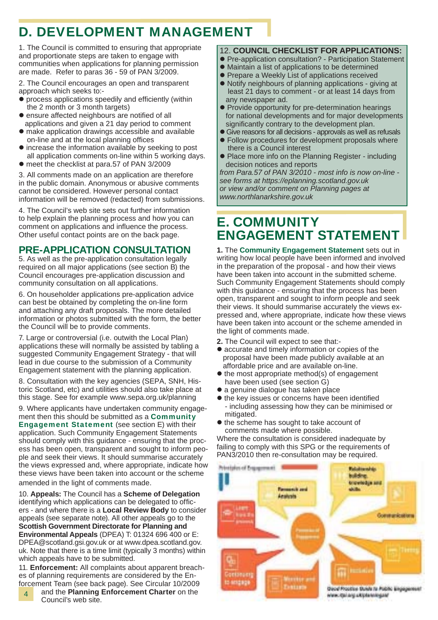# D. DEVELOPMENT MANAGEMENT

1. The Council is committed to ensuring that appropriate and proportionate steps are taken to engage with communities when applications for planning permission are made. Refer to paras 36 - 59 of PAN 3/2009.

2. The Council encourages an open and transparent approach which seeks to:-

- $\bullet$  process applications speedily and efficiently (within the 2 month or 3 month targets)
- $\bullet$  ensure affected neighbours are notified of all applications and given a 21 day period to comment
- $\bullet$  make application drawings accessible and available on-line and at the local planning offices
- $\bullet$  increase the information available by seeking to post all application comments on-line within 5 working days.
- $\bullet$  meet the checklist at para.57 of PAN 3/2009

3. All comments made on an application are therefore in the public domain. Anonymous or abusive comments cannot be considered. However personal contact information will be removed (redacted) from submissions.

4. The Council's web site sets out further information to help explain the planning process and how you can comment on applications and influence the process. Other useful contact points are on the back page.

### **PRE-APPLICATION CONSULTATION**

5. As well as the pre-application consultation legally required on all major applications (see section B) the Council encourages pre-application discussion and community consultation on all applications.

6. On householder applications pre-application advice can best be obtained by completing the on-line form and attaching any draft proposals. The more detailed information or photos submitted with the form, the better the Council will be to provide comments.

7. Large or controversial (i.e. outwith the Local Plan) applications these will normally be assisted by tabling a suggested Community Engagement Strategy - that will lead in due course to the submission of a Community Engagement statement with the planning application.

8. Consultation with the key agencies (SEPA, SNH, Historic Scotland, etc) and utilities should also take place at this stage. See for example www.sepa.org.uk/planning

9. Where applicants have undertaken community engagement then this should be submitted as a Community Engagement Statement (see section E) with their application. Such Community Engagement Statements should comply with this guidance - ensuring that the process has been open, transparent and sought to inform people and seek their views. It should summarise accurately the views expressed and, where appropriate, indicate how these views have been taken into account or the scheme amended in the light of comments made.

10. **Appeals:** The Council has a **Scheme of Delegation** identifying which applications can be delegated to officers - and where there is a **Local Review Body** to consider appeals (see separate note). All other appeals go to the **Scottish Government Directorate for Planning and Environmental Appeals** (DPEA) T: 01324 696 400 or E: DPEA@scotland.gsi.gov.uk or at www.dpea.scotland.gov. uk. Note that there is a time limit (typically 3 months) within which appeals have to be submitted.

11. **Enforcement:** All complaints about apparent breaches of planning requirements are considered by the Enforcement Team (see back page). See Circular 10/2009

4 and the **Planning Enforcement Charter** on the Council's web site.

### 12. **COUNCIL CHECKLIST FOR APPLICATIONS:**

- Pre-application consultation? Participation Statement
- $\bullet$  Maintain a list of applications to be determined
- Prepare a Weekly List of applications received
- $\bullet$  Notify neighbours of planning applications giving at least 21 days to comment - or at least 14 days from any newspaper ad.
- Provide opportunity for pre-determination hearings for national developments and for major developments significantly contrary to the development plan.
- Give reasons for all decisions approvals as well as refusals
- $\bullet$  Follow procedures for development proposals where there is a Council interest
- Place more info on the Planning Register including decision notices and reports

*from Para.57 of PAN 3/2010 - most info is now on-line see forms at https://eplanning.scotland.gov.uk or view and/or comment on Planning pages at www.northlanarkshire.gov.uk*

# E. COMMUNITY ENGAGEMENT STATEMENT

**1.** The **Community Engagement Statement** sets out in writing how local people have been informed and involved in the preparation of the proposal - and how their views have been taken into account in the submitted scheme. Such Community Engagement Statements should comply with this guidance - ensuring that the process has been open, transparent and sought to inform people and seek their views. It should summarise accurately the views expressed and, where appropriate, indicate how these views have been taken into account or the scheme amended in the light of comments made.

- **2.** The Council will expect to see that:-
- accurate and timely information or copies of the proposal have been made publicly available at an affordable price and are available on-line.
- $\bullet$  the most appropriate method(s) of engagement have been used (see section G)
- a genuine dialogue has taken place
- $\bullet$  the key issues or concerns have been identified - including assessing how they can be minimised or mitigated.
- $\bullet$  the scheme has sought to take account of comments made where possible.

Where the consultation is considered inadequate by failing to comply with this SPG or the requirements of PAN3/2010 then re-consultation may be required.

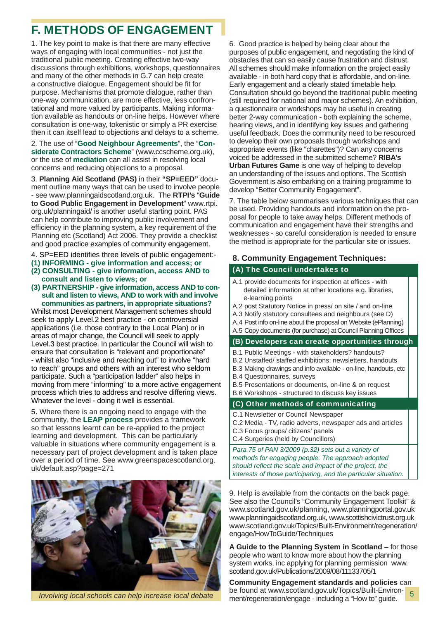## F. METHODS OF ENGAGEMENT

1. The key point to make is that there are many effective ways of engaging with local communities - not just the traditional public meeting. Creating effective two-way discussions through exhibitions, workshops, questionnaires and many of the other methods in G.7 can help create a constructive dialogue. Engagement should be fit for purpose. Mechanisms that promote dialogue, rather than one-way communication, are more effective, less confrontational and more valued by participants. Making information available as handouts or on-line helps. However where consultation is one-way, tokenistic or simply a PR exercise then it can itself lead to objections and delays to a scheme.

2. The use of "**Good Neighbour Agreements**", the "**Considerate Contractors Scheme**" (www.ccscheme.org.uk), or the use of **mediation** can all assist in resolving local concerns and reducing objections to a proposal.

3. **Planning Aid Scotland (PAS)** in their **"SP=EED"** document outline many ways that can be used to involve people - see www.planningaidscotland.org.uk. The **RTPI's** "**Guide to Good Public Engagement in Development**" www.rtpi. org.uk/planningaid/ is another useful starting point. PAS can help contribute to improving public involvement and efficiency in the planning system, a key requirement of the Planning etc (Scotland) Act 2006. They provide a checklist and good practice examples of community engagement.

- 4. SP=EED identifies three levels of public engagement:-
- **(1) INFORMING give information and access; or**
- **(2) CONSULTING give information, access AND to consult and listen to views; or**
- **(3) PARTNERSHIP give information, access AND to con sult and listen to views, AND to work with and involve communities as partners, in appropriate situations?**

Whilst most Development Management schemes should seek to apply Level.2 best practice - on controversial applications (i.e. those contrary to the Local Plan) or in areas of major change, the Council will seek to apply Level.3 best practice. In particular the Council will wish to ensure that consultation is "relevant and proportionate" - whilst also "inclusive and reaching out" to involve "hard to reach" groups and others with an interest who seldom participate. Such a "participation ladder" also helps in moving from mere "informing" to a more active engagement process which tries to address and resolve differing views. Whatever the level - doing it well is essential.

5. Where there is an ongoing need to engage with the community, the **LEAP process** provides a framework so that lessons learnt can be re-applied to the project learning and development. This can be particularly valuable in situations where community engagement is a necessary part of project development and is taken place over a period of time. See www.greenspacescotland.org. uk/default.asp?page=271



6. Good practice is helped by being clear about the purposes of public engagement, and negotiating the kind of obstacles that can so easily cause frustration and distrust. All schemes should make information on the project easily available - in both hard copy that is affordable, and on-line. Early engagement and a clearly stated timetable help. Consultation should go beyond the traditional public meeting (still required for national and major schemes). An exhibition, a questionnaire or workshops may be useful in creating better 2-way communication - both explaining the scheme, hearing views, and in identifying key issues and gathering useful feedback. Does the community need to be resourced to develop their own proposals through workshops and appropriate events (like "charettes")? Can any concerns voiced be addressed in the submitted scheme? **RIBA's Urban Futures Game** is one way of helping to develop an understanding of the issues and options. The Scottish Government is also embarking on a training programme to develop "Better Community Engagement".

7. The table below summarises various techniques that can be used. Providing handouts and information on the proposal for people to take away helps. Different methods of communication and engagement have their strengths and weaknesses - so careful consideration is needed to ensure the method is appropriate for the particular site or issues.

#### **8. Community Engagement Techniques:**

#### (A) The Council undertakes to

- A.1 provide documents for inspection at offices with detailed information at other locations e.g. libraries, e-learning points
- A.2 post Statutory Notice in press/ on site / and on-line
- A.3 Notify statutory consultees and neighbours (see D)
- A.4 Post info on-line about the proposal on Website (ePlanning)
- A.5 Copy documents (for purchase) at Council Planning Offices

#### (B) Developers can create opportunities through

- B.1 Public Meetings with stakeholders? handouts?
- B.2 Unstaffed/ staffed exhibitions; newsletters, handouts
- B.3 Making drawings and info available on-line, handouts, etc
- B.4 Questionnaires, surveys
- B.5 Presentations or documents, on-line & on request
- B.6 Workshops structured to discuss key issues

#### (C) Other methods of communicating

- C.1 Newsletter or Council Newspaper
- C.2 Media TV, radio adverts, newspaper ads and articles
- C.3 Focus groups/ citizens' panels
- C.4 Surgeries (held by Councillors)

*Para 75 of PAN 3/2009 (p.32) sets out a variety of methods for engaging people. The approach adopted should refl ect the scale and impact of the project, the interests of those participating, and the particular situation.*

9. Help is available from the contacts on the back page. See also the Council's "Community Engagement Toolkit" & www.scotland.gov.uk/planning, www.planningportal.gov.uk www.planningaidscotland.org.uk, www.scottishcivictrust.org.uk www.scotland.gov.uk/Topics/Built-Environment/regeneration/ engage/HowToGuide/Techniques

**A Guide to the Planning System in Scotland** – for those people who want to know more about how the planning system works, inc applying for planning permission www. scotland.gov.uk/Publications/2009/08/11133705/1

**Community Engagement standards and policies** can be found at www.scotland.gov.uk/Topics/Built-Environment/regeneration/engage - including a "How to" guide. *Involving local schools can help increase local debate* 5